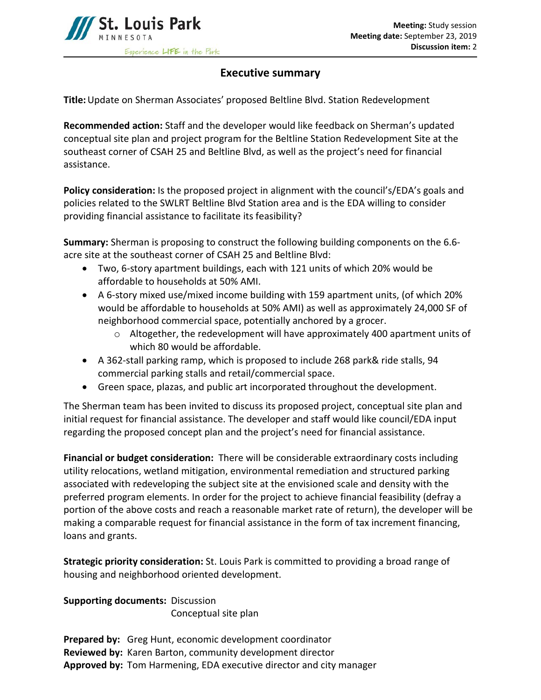

## **Executive summary**

**Title:**Update on Sherman Associates' proposed Beltline Blvd. Station Redevelopment

**Recommended action:** Staff and the developer would like feedback on Sherman's updated conceptual site plan and project program for the Beltline Station Redevelopment Site at the southeast corner of CSAH 25 and Beltline Blvd, as well as the project's need for financial assistance.

**Policy consideration:** Is the proposed project in alignment with the council's/EDA's goals and policies related to the SWLRT Beltline Blvd Station area and is the EDA willing to consider providing financial assistance to facilitate its feasibility?

**Summary:** Sherman is proposing to construct the following building components on the 6.6 acre site at the southeast corner of CSAH 25 and Beltline Blvd:

- Two, 6-story apartment buildings, each with 121 units of which 20% would be affordable to households at 50% AMI.
- A 6-story mixed use/mixed income building with 159 apartment units, (of which 20% would be affordable to households at 50% AMI) as well as approximately 24,000 SF of neighborhood commercial space, potentially anchored by a grocer.
	- $\circ$  Altogether, the redevelopment will have approximately 400 apartment units of which 80 would be affordable.
- A 362-stall parking ramp, which is proposed to include 268 park& ride stalls, 94 commercial parking stalls and retail/commercial space.
- Green space, plazas, and public art incorporated throughout the development.

The Sherman team has been invited to discuss its proposed project, conceptual site plan and initial request for financial assistance. The developer and staff would like council/EDA input regarding the proposed concept plan and the project's need for financial assistance.

**Financial or budget consideration:** There will be considerable extraordinary costs including utility relocations, wetland mitigation, environmental remediation and structured parking associated with redeveloping the subject site at the envisioned scale and density with the preferred program elements. In order for the project to achieve financial feasibility (defray a portion of the above costs and reach a reasonable market rate of return), the developer will be making a comparable request for financial assistance in the form of tax increment financing, loans and grants.

**Strategic priority consideration:** St. Louis Park is committed to providing a broad range of housing and neighborhood oriented development.

**Supporting documents:** Discussion Conceptual site plan

**Prepared by:** Greg Hunt, economic development coordinator **Reviewed by:** Karen Barton, community development director **Approved by:** Tom Harmening, EDA executive director and city manager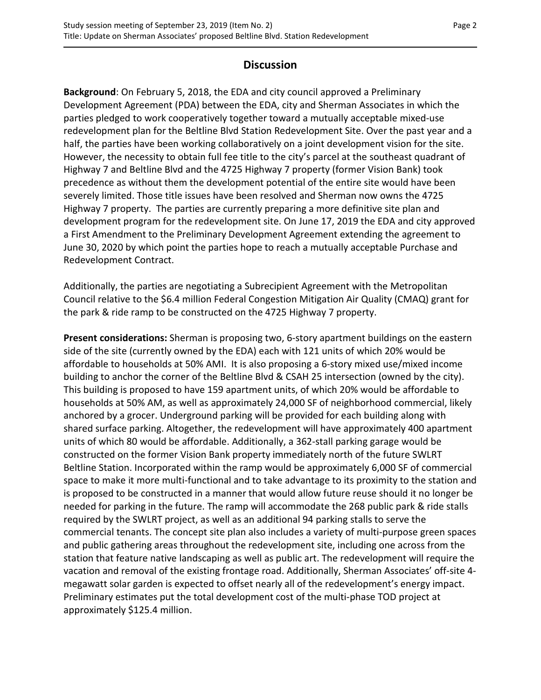## **Discussion**

**Background**: On February 5, 2018, the EDA and city council approved a Preliminary Development Agreement (PDA) between the EDA, city and Sherman Associates in which the parties pledged to work cooperatively together toward a mutually acceptable mixed-use redevelopment plan for the Beltline Blvd Station Redevelopment Site. Over the past year and a half, the parties have been working collaboratively on a joint development vision for the site. However, the necessity to obtain full fee title to the city's parcel at the southeast quadrant of Highway 7 and Beltline Blvd and the 4725 Highway 7 property (former Vision Bank) took precedence as without them the development potential of the entire site would have been severely limited. Those title issues have been resolved and Sherman now owns the 4725 Highway 7 property. The parties are currently preparing a more definitive site plan and development program for the redevelopment site. On June 17, 2019 the EDA and city approved a First Amendment to the Preliminary Development Agreement extending the agreement to June 30, 2020 by which point the parties hope to reach a mutually acceptable Purchase and Redevelopment Contract.

Additionally, the parties are negotiating a Subrecipient Agreement with the Metropolitan Council relative to the \$6.4 million Federal Congestion Mitigation Air Quality (CMAQ) grant for the park & ride ramp to be constructed on the 4725 Highway 7 property.

**Present considerations:** Sherman is proposing two, 6-story apartment buildings on the eastern side of the site (currently owned by the EDA) each with 121 units of which 20% would be affordable to households at 50% AMI. It is also proposing a 6-story mixed use/mixed income building to anchor the corner of the Beltline Blvd & CSAH 25 intersection (owned by the city). This building is proposed to have 159 apartment units, of which 20% would be affordable to households at 50% AM, as well as approximately 24,000 SF of neighborhood commercial, likely anchored by a grocer. Underground parking will be provided for each building along with shared surface parking. Altogether, the redevelopment will have approximately 400 apartment units of which 80 would be affordable. Additionally, a 362-stall parking garage would be constructed on the former Vision Bank property immediately north of the future SWLRT Beltline Station. Incorporated within the ramp would be approximately 6,000 SF of commercial space to make it more multi-functional and to take advantage to its proximity to the station and is proposed to be constructed in a manner that would allow future reuse should it no longer be needed for parking in the future. The ramp will accommodate the 268 public park & ride stalls required by the SWLRT project, as well as an additional 94 parking stalls to serve the commercial tenants. The concept site plan also includes a variety of multi-purpose green spaces and public gathering areas throughout the redevelopment site, including one across from the station that feature native landscaping as well as public art. The redevelopment will require the vacation and removal of the existing frontage road. Additionally, Sherman Associates' off-site 4 megawatt solar garden is expected to offset nearly all of the redevelopment's energy impact. Preliminary estimates put the total development cost of the multi-phase TOD project at approximately \$125.4 million.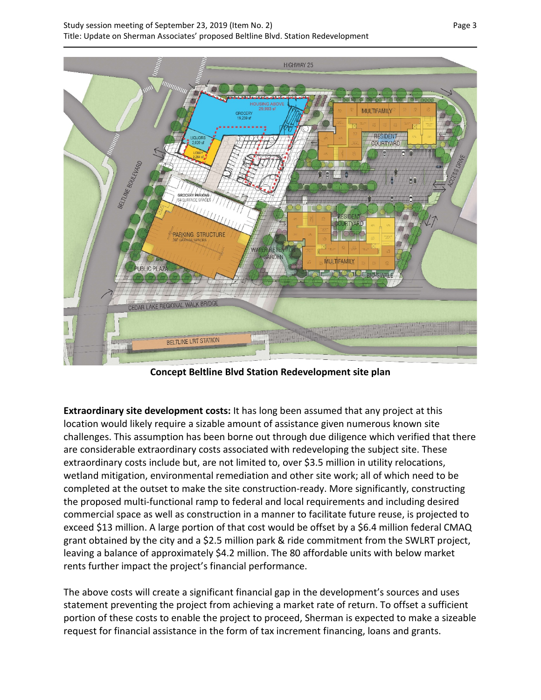

**Concept Beltline Blvd Station Redevelopment site plan**

**Extraordinary site development costs:** It has long been assumed that any project at this location would likely require a sizable amount of assistance given numerous known site challenges. This assumption has been borne out through due diligence which verified that there are considerable extraordinary costs associated with redeveloping the subject site. These extraordinary costs include but, are not limited to, over \$3.5 million in utility relocations, wetland mitigation, environmental remediation and other site work; all of which need to be completed at the outset to make the site construction-ready. More significantly, constructing the proposed multi-functional ramp to federal and local requirements and including desired commercial space as well as construction in a manner to facilitate future reuse, is projected to exceed \$13 million. A large portion of that cost would be offset by a \$6.4 million federal CMAQ grant obtained by the city and a \$2.5 million park & ride commitment from the SWLRT project, leaving a balance of approximately \$4.2 million. The 80 affordable units with below market rents further impact the project's financial performance.

The above costs will create a significant financial gap in the development's sources and uses statement preventing the project from achieving a market rate of return. To offset a sufficient portion of these costs to enable the project to proceed, Sherman is expected to make a sizeable request for financial assistance in the form of tax increment financing, loans and grants.